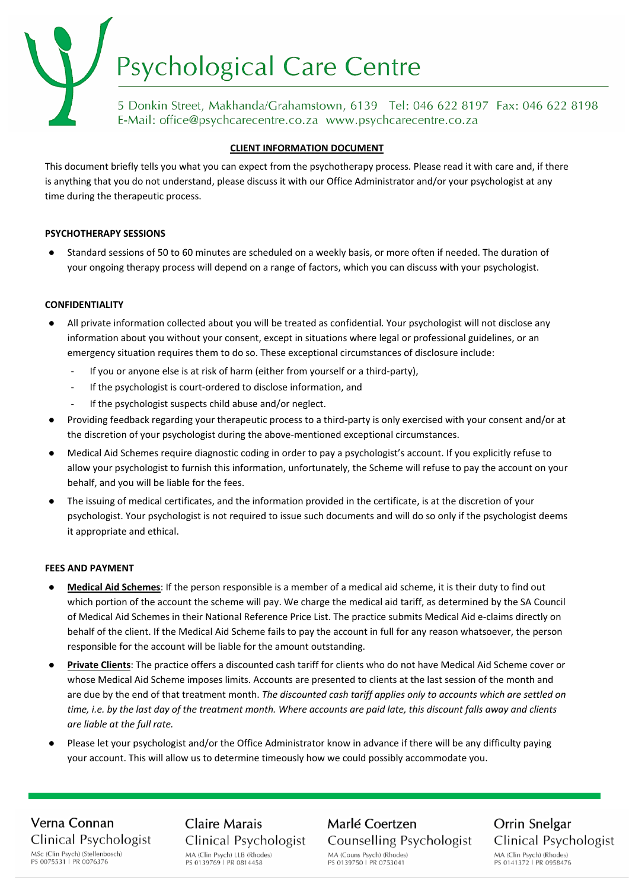# Psychological Care Centre

5 Donkin Street, Makhanda/Grahamstown, 6139 Tel: 046 622 8197 Fax: 046 622 8198 E-Mail: office@psychcarecentre.co.za www.psychcarecentre.co.za

#### **CLIENT INFORMATION DOCUMENT**

This document briefly tells you what you can expect from the psychotherapy process. Please read it with care and, if there is anything that you do not understand, please discuss it with our Office Administrator and/or your psychologist at any time during the therapeutic process.

#### **PSYCHOTHERAPY SESSIONS**

Standard sessions of 50 to 60 minutes are scheduled on a weekly basis, or more often if needed. The duration of your ongoing therapy process will depend on a range of factors, which you can discuss with your psychologist.

#### **CONFIDENTIALITY**

- All private information collected about you will be treated as confidential. Your psychologist will not disclose any information about you without your consent, except in situations where legal or professional guidelines, or an emergency situation requires them to do so. These exceptional circumstances of disclosure include:
	- If you or anyone else is at risk of harm (either from yourself or a third-party),
	- If the psychologist is court-ordered to disclose information, and
	- If the psychologist suspects child abuse and/or neglect.
- Providing feedback regarding your therapeutic process to a third-party is only exercised with your consent and/or at the discretion of your psychologist during the above-mentioned exceptional circumstances.
- Medical Aid Schemes require diagnostic coding in order to pay a psychologist's account. If you explicitly refuse to allow your psychologist to furnish this information, unfortunately, the Scheme will refuse to pay the account on your behalf, and you will be liable for the fees.
- The issuing of medical certificates, and the information provided in the certificate, is at the discretion of your psychologist. Your psychologist is not required to issue such documents and will do so only if the psychologist deems it appropriate and ethical.

#### **FEES AND PAYMENT**

- **Medical Aid Schemes**: If the person responsible is a member of a medical aid scheme, it is their duty to find out which portion of the account the scheme will pay. We charge the medical aid tariff, as determined by the SA Council of Medical Aid Schemes in their National Reference Price List. The practice submits Medical Aid e-claims directly on behalf of the client. If the Medical Aid Scheme fails to pay the account in full for any reason whatsoever, the person responsible for the account will be liable for the amount outstanding.
- **Private Clients**: The practice offers a discounted cash tariff for clients who do not have Medical Aid Scheme cover or whose Medical Aid Scheme imposes limits. Accounts are presented to clients at the last session of the month and are due by the end of that treatment month. *The discounted cash tariff applies only to accounts which are settled on time, i.e. by the last day of the treatment month. Where accounts are paid late, this discount falls away and clients are liable at the full rate.*
- Please let your psychologist and/or the Office Administrator know in advance if there will be any difficulty paying your account. This will allow us to determine timeously how we could possibly accommodate you.

## Verna Connan Clinical Psychologist MSc (Clin Psych) (Stellenbosch)<br>PS 0075531 | PR 0076376

**Claire Marais** Clinical Psychologist MA (Clin Psych) LLB (Rhodes) PS 0139769 | PR 0814458

Marlé Coertzen **Counselling Psychologist** MA (Couns Psych) (Rhodes) PS 0139750 LPR 0753041

Orrin Snelgar Clinical Psychologist MA (Clin Psych) (Rhodes) PS 0141372 | PR 0958476